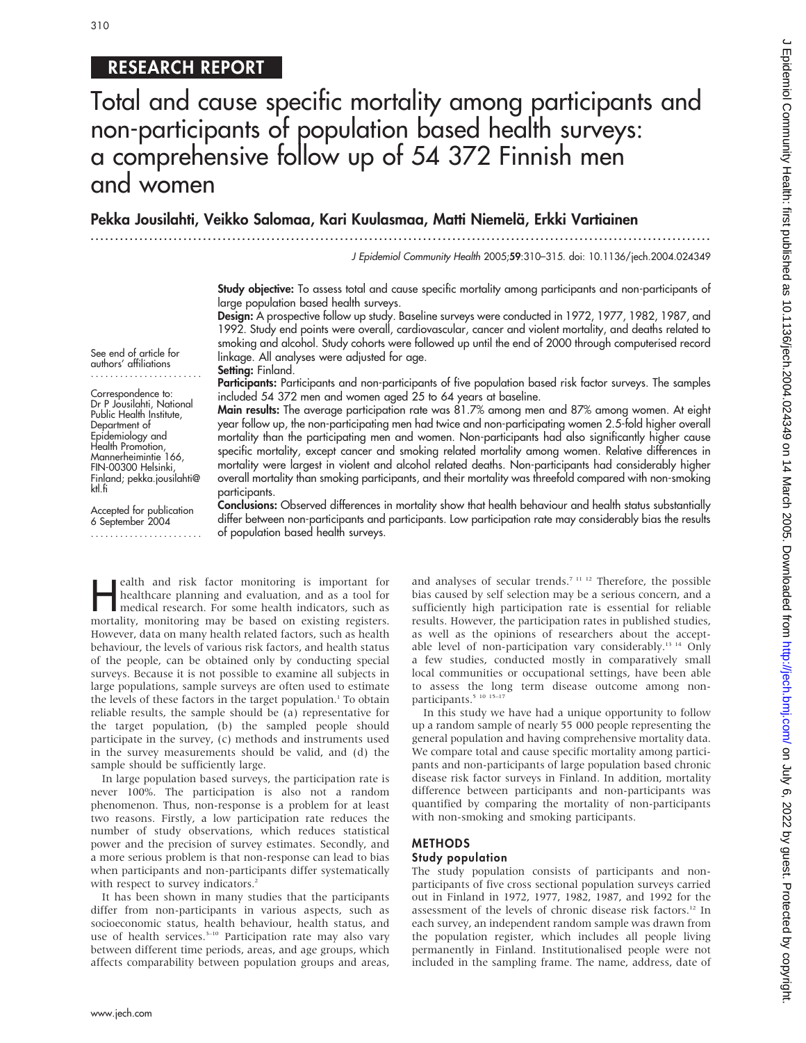# RESEARCH REPORT

# Total and cause specific mortality among participants and non-participants of population based health surveys: a comprehensive follow up of 54 372 Finnish men and women

# Pekka Jousilahti, Veikko Salomaa, Kari Kuulasmaa, Matti Niemelä, Erkki Vartiainen

...............................................................................................................................

J Epidemiol Community Health 2005;59:310–315. doi: 10.1136/jech.2004.024349

Study objective: To assess total and cause specific mortality among participants and non-participants of large population based health surveys.

Design: A prospective follow up study. Baseline surveys were conducted in 1972, 1977, 1982, 1987, and 1992. Study end points were overall, cardiovascular, cancer and violent mortality, and deaths related to smoking and alcohol. Study cohorts were followed up until the end of 2000 through computerised record linkage. All analyses were adjusted for age. Setting: Finland.

See end of article for authors' affiliations .......................

Correspondence to: Dr P Jousilahti, National Public Health Institute, Department of Epidemiology and Health Promotion, Mannerheimintie 166, FIN-00300 Helsinki, Finland; pekka.jousilahti@ ktl.fi

Accepted for publication 6 September 2004 ....................... Participants: Participants and non-participants of five population based risk factor surveys. The samples included 54 372 men and women aged 25 to 64 years at baseline.

Main results: The average participation rate was 81.7% among men and 87% among women. At eight year follow up, the non-participating men had twice and non-participating women 2.5-fold higher overall mortality than the participating men and women. Non-participants had also significantly higher cause specific mortality, except cancer and smoking related mortality among women. Relative differences in mortality were largest in violent and alcohol related deaths. Non-participants had considerably higher overall mortality than smoking participants, and their mortality was threefold compared with non-smoking participants.

Conclusions: Observed differences in mortality show that health behaviour and health status substantially differ between non-participants and participants. Low participation rate may considerably bias the results of population based health surveys.

**Health and risk factor monitoring is important for**<br>healthcare planning and evaluation, and as a tool for<br>medical research. For some health indicators, such as<br>mortality monitoring may be based on existing registers healthcare planning and evaluation, and as a tool for mortality, monitoring may be based on existing registers. However, data on many health related factors, such as health behaviour, the levels of various risk factors, and health status of the people, can be obtained only by conducting special surveys. Because it is not possible to examine all subjects in large populations, sample surveys are often used to estimate the levels of these factors in the target population.<sup>1</sup> To obtain reliable results, the sample should be (a) representative for the target population, (b) the sampled people should participate in the survey, (c) methods and instruments used in the survey measurements should be valid, and (d) the sample should be sufficiently large.

In large population based surveys, the participation rate is never 100%. The participation is also not a random phenomenon. Thus, non-response is a problem for at least two reasons. Firstly, a low participation rate reduces the number of study observations, which reduces statistical power and the precision of survey estimates. Secondly, and a more serious problem is that non-response can lead to bias when participants and non-participants differ systematically with respect to survey indicators.<sup>2</sup>

It has been shown in many studies that the participants differ from non-participants in various aspects, such as socioeconomic status, health behaviour, health status, and use of health services.<sup>3-10</sup> Participation rate may also vary between different time periods, areas, and age groups, which affects comparability between population groups and areas,

and analyses of secular trends.7 11 12 Therefore, the possible bias caused by self selection may be a serious concern, and a sufficiently high participation rate is essential for reliable results. However, the participation rates in published studies, as well as the opinions of researchers about the acceptable level of non-participation vary considerably.13 14 Only a few studies, conducted mostly in comparatively small local communities or occupational settings, have been able to assess the long term disease outcome among nonparticipants.<sup>5</sup> 10 15-17

In this study we have had a unique opportunity to follow up a random sample of nearly 55 000 people representing the general population and having comprehensive mortality data. We compare total and cause specific mortality among participants and non-participants of large population based chronic disease risk factor surveys in Finland. In addition, mortality difference between participants and non-participants was quantified by comparing the mortality of non-participants with non-smoking and smoking participants.

#### METHODS Study population

The study population consists of participants and nonparticipants of five cross sectional population surveys carried out in Finland in 1972, 1977, 1982, 1987, and 1992 for the assessment of the levels of chronic disease risk factors.<sup>12</sup> In each survey, an independent random sample was drawn from the population register, which includes all people living permanently in Finland. Institutionalised people were not included in the sampling frame. The name, address, date of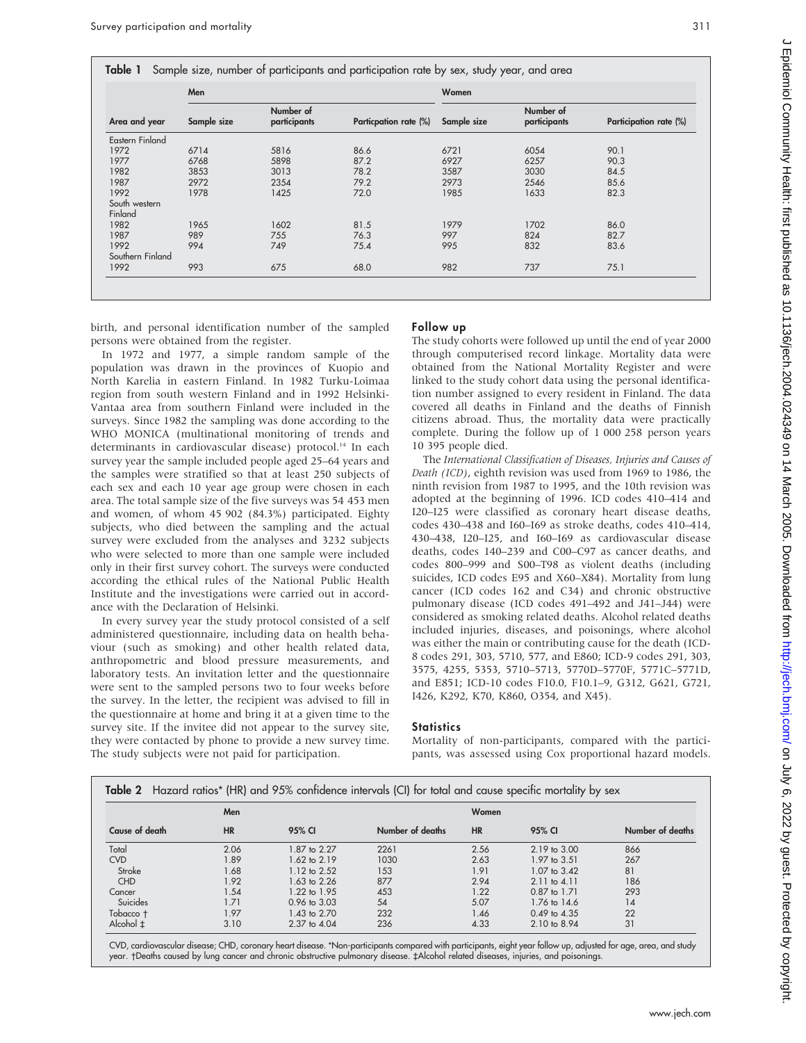Table 1 Sample size, number of participants and participation rate by sex, study year, and area

|                  | Men         |                           |                       | Women       |                           |                        |  |
|------------------|-------------|---------------------------|-----------------------|-------------|---------------------------|------------------------|--|
| Area and year    | Sample size | Number of<br>participants | Particpation rate (%) | Sample size | Number of<br>participants | Participation rate (%) |  |
| Eastern Finland  |             |                           |                       |             |                           |                        |  |
| 1972             | 6714        | 5816                      | 86.6                  | 6721        | 6054                      | 90.1                   |  |
| 1977             | 6768        | 5898                      | 87.2                  | 6927        | 6257                      | 90.3                   |  |
| 1982             | 3853        | 3013                      | 78.2                  | 3587        | 3030                      | 84.5                   |  |
| 1987             | 2972        | 2354                      | 79.2                  | 2973        | 2546                      | 85.6                   |  |
| 1992             | 1978        | 1425                      | 72.0                  | 1985        | 1633                      | 82.3                   |  |
| South western    |             |                           |                       |             |                           |                        |  |
| Finland          |             |                           |                       |             |                           |                        |  |
| 1982             | 1965        | 1602                      | 81.5                  | 1979        | 1702                      | 86.0                   |  |
| 1987             | 989         | 755                       | 76.3                  | 997         | 824                       | 82.7                   |  |
| 1992             | 994         | 749                       | 75.4                  | 995         | 832                       | 83.6                   |  |
| Southern Finland |             |                           |                       |             |                           |                        |  |
| 1992             | 993         | 675                       | 68.0                  | 982         | 737                       | 75.1                   |  |

birth, and personal identification number of the sampled persons were obtained from the register.

In 1972 and 1977, a simple random sample of the population was drawn in the provinces of Kuopio and North Karelia in eastern Finland. In 1982 Turku-Loimaa region from south western Finland and in 1992 Helsinki-Vantaa area from southern Finland were included in the surveys. Since 1982 the sampling was done according to the WHO MONICA (multinational monitoring of trends and determinants in cardiovascular disease) protocol.<sup>14</sup> In each survey year the sample included people aged 25–64 years and the samples were stratified so that at least 250 subjects of each sex and each 10 year age group were chosen in each area. The total sample size of the five surveys was 54 453 men and women, of whom 45 902 (84.3%) participated. Eighty subjects, who died between the sampling and the actual survey were excluded from the analyses and 3232 subjects who were selected to more than one sample were included only in their first survey cohort. The surveys were conducted according the ethical rules of the National Public Health Institute and the investigations were carried out in accordance with the Declaration of Helsinki.

In every survey year the study protocol consisted of a self administered questionnaire, including data on health behaviour (such as smoking) and other health related data, anthropometric and blood pressure measurements, and laboratory tests. An invitation letter and the questionnaire were sent to the sampled persons two to four weeks before the survey. In the letter, the recipient was advised to fill in the questionnaire at home and bring it at a given time to the survey site. If the invitee did not appear to the survey site, they were contacted by phone to provide a new survey time. The study subjects were not paid for participation.

# Follow up

The study cohorts were followed up until the end of year 2000 through computerised record linkage. Mortality data were obtained from the National Mortality Register and were linked to the study cohort data using the personal identification number assigned to every resident in Finland. The data covered all deaths in Finland and the deaths of Finnish citizens abroad. Thus, the mortality data were practically complete. During the follow up of 1 000 258 person years 10 395 people died.

The International Classification of Diseases, Injuries and Causes of Death (ICD), eighth revision was used from 1969 to 1986, the ninth revision from 1987 to 1995, and the 10th revision was adopted at the beginning of 1996. ICD codes 410–414 and I20–I25 were classified as coronary heart disease deaths, codes 430–438 and I60–I69 as stroke deaths, codes 410–414, 430–438, I20–I25, and I60–I69 as cardiovascular disease deaths, codes 140–239 and C00–C97 as cancer deaths, and codes 800–999 and S00–T98 as violent deaths (including suicides, ICD codes E95 and X60–X84). Mortality from lung cancer (ICD codes 162 and C34) and chronic obstructive pulmonary disease (ICD codes 491–492 and J41–J44) were considered as smoking related deaths. Alcohol related deaths included injuries, diseases, and poisonings, where alcohol was either the main or contributing cause for the death (ICD-8 codes 291, 303, 5710, 577, and E860; ICD-9 codes 291, 303, 3575, 4255, 5353, 5710–5713, 5770D–5770F, 5771C–5771D, and E851; ICD-10 codes F10.0, F10.1–9, G312, G621, G721, I426, K292, K70, K860, O354, and X45).

#### **Statistics**

Mortality of non-participants, compared with the participants, was assessed using Cox proportional hazard models.

|                | Men       |                  |                  | Women     |                         |                  |
|----------------|-----------|------------------|------------------|-----------|-------------------------|------------------|
| Cause of death | <b>HR</b> | 95% CI           | Number of deaths | <b>HR</b> | 95% CI                  | Number of deaths |
| Total          | 2.06      | 1.87 to 2.27     | 2261             | 2.56      | $2.19 \text{ to } 3.00$ | 866              |
| <b>CVD</b>     | 1.89      | 1.62 to 2.19     | 1030             | 2.63      | $1.97$ to $3.51$        | 267              |
| Stroke         | 1.68      | 1.12 to 2.52     | 153              | 1.91      | $1.07$ to $3.42$        | 81               |
| <b>CHD</b>     | 1.92      | 1.63 to $2.26$   | 877              | 2.94      | $2.11$ to $4.11$        | 186              |
| Cancer         | 1.54      | 1.22 to 1.95     | 453              | 1.22      | $0.87$ to 1.71          | 293              |
| Suicides       | 1.71      | $0.96$ to $3.03$ | 54               | 5.07      | 1.76 to 14.6            | 14               |
| Tobacco +      | 1.97      | 1.43 to 2.70     | 232              | 1.46      | $0.49$ to $4.35$        | 22               |
| Alcohol ±      | 3.10      | 2.37 to 4.04     | 236              | 4.33      | 2.10 to 8.94            | 31               |

CVD, cardiovascular disease; CHD, coronary heart disease. \*Non-participants compared with participants, eight year follow up, adjusted for age, area, and study year. †Deaths caused by lung cancer and chronic obstructive pulmonary disease. ‡Alcohol related diseases, injuries, and poisonings.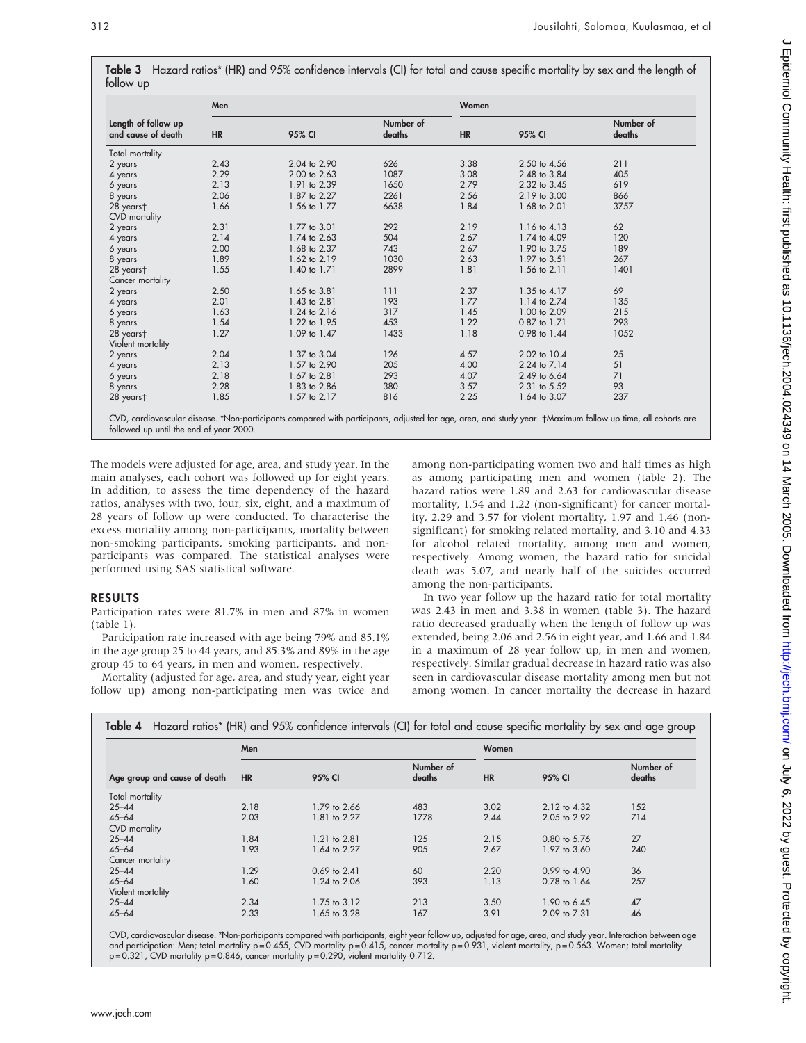|           | Table 3 Hazard ratios* (HR) and 95% confidence intervals (CI) for total and cause specific mortality by sex and the length of |  |  |  |  |  |
|-----------|-------------------------------------------------------------------------------------------------------------------------------|--|--|--|--|--|
| follow up |                                                                                                                               |  |  |  |  |  |

|                                           | Men       |              |                     | Women     |                  |                     |
|-------------------------------------------|-----------|--------------|---------------------|-----------|------------------|---------------------|
| Length of follow up<br>and cause of death | <b>HR</b> | 95% CI       | Number of<br>deaths | <b>HR</b> | 95% CI           | Number of<br>deaths |
| Total mortality                           |           |              |                     |           |                  |                     |
| 2 years                                   | 2.43      | 2.04 to 2.90 | 626                 | 3.38      | 2.50 to 4.56     | 211                 |
| 4 years                                   | 2.29      | 2.00 to 2.63 | 1087                | 3.08      | 2.48 to 3.84     | 405                 |
| 6 years                                   | 2.13      | 1.91 to 2.39 | 1650                | 2.79      | 2.32 to 3.45     | 619                 |
| 8 years                                   | 2.06      | 1.87 to 2.27 | 2261                | 2.56      | 2.19 to 3.00     | 866                 |
| 28 yearst                                 | 1.66      | 1.56 to 1.77 | 6638                | 1.84      | 1.68 to 2.01     | 3757                |
| CVD mortality                             |           |              |                     |           |                  |                     |
| 2 years                                   | 2.31      | 1.77 to 3.01 | 292                 | 2.19      | $1.16$ to $4.13$ | 62                  |
| 4 years                                   | 2.14      | 1.74 to 2.63 | 504                 | 2.67      | 1.74 to 4.09     | 120                 |
| 6 years                                   | 2.00      | 1.68 to 2.37 | 743                 | 2.67      | 1.90 to 3.75     | 189                 |
| 8 years                                   | 1.89      | 1.62 to 2.19 | 1030                | 2.63      | 1.97 to 3.51     | 267                 |
| 28 yearst                                 | 1.55      | 1.40 to 1.71 | 2899                | 1.81      | 1.56 to 2.11     | 1401                |
| Cancer mortality                          |           |              |                     |           |                  |                     |
| 2 years                                   | 2.50      | 1.65 to 3.81 | 111                 | 2.37      | 1.35 to 4.17     | 69                  |
| 4 years                                   | 2.01      | 1.43 to 2.81 | 193                 | 1.77      | 1.14 to 2.74     | 135                 |
| 6 years                                   | 1.63      | 1.24 to 2.16 | 317                 | 1.45      | 1.00 to 2.09     | 215                 |
| 8 years                                   | 1.54      | 1.22 to 1.95 | 453                 | 1.22      | 0.87 to 1.71     | 293                 |
| 28 yearst                                 | 1.27      | 1.09 to 1.47 | 1433                | 1.18      | 0.98 to 1.44     | 1052                |
| Violent mortality                         |           |              |                     |           |                  |                     |
| 2 years                                   | 2.04      | 1.37 to 3.04 | 126                 | 4.57      | 2.02 to 10.4     | 25                  |
| 4 years                                   | 2.13      | 1.57 to 2.90 | 205                 | 4.00      | 2.24 to 7.14     | 51                  |
| 6 years                                   | 2.18      | 1.67 to 2.81 | 293                 | 4.07      | 2.49 to 6.64     | 71                  |
| 8 years                                   | 2.28      | 1.83 to 2.86 | 380                 | 3.57      | 2.31 to 5.52     | 93                  |
| 28 yearst                                 | 1.85      | 1.57 to 2.17 | 816                 | 2.25      | 1.64 to 3.07     | 237                 |

CVD, cardiovascular disease. \*Non-participants compared with participants, adjusted for age, area, and study year. Maximum follow up time, all cohorts are followed up until the end of year 2000.

The models were adjusted for age, area, and study year. In the main analyses, each cohort was followed up for eight years. In addition, to assess the time dependency of the hazard ratios, analyses with two, four, six, eight, and a maximum of 28 years of follow up were conducted. To characterise the excess mortality among non-participants, mortality between non-smoking participants, smoking participants, and nonparticipants was compared. The statistical analyses were performed using SAS statistical software.

# RESULTS

Participation rates were 81.7% in men and 87% in women (table 1).

Participation rate increased with age being 79% and 85.1% in the age group 25 to 44 years, and 85.3% and 89% in the age group 45 to 64 years, in men and women, respectively.

Mortality (adjusted for age, area, and study year, eight year follow up) among non-participating men was twice and among non-participating women two and half times as high as among participating men and women (table 2). The hazard ratios were 1.89 and 2.63 for cardiovascular disease mortality, 1.54 and 1.22 (non-significant) for cancer mortality, 2.29 and 3.57 for violent mortality, 1.97 and 1.46 (nonsignificant) for smoking related mortality, and 3.10 and 4.33 for alcohol related mortality, among men and women, respectively. Among women, the hazard ratio for suicidal death was 5.07, and nearly half of the suicides occurred among the non-participants.

In two year follow up the hazard ratio for total mortality was 2.43 in men and 3.38 in women (table 3). The hazard ratio decreased gradually when the length of follow up was extended, being 2.06 and 2.56 in eight year, and 1.66 and 1.84 in a maximum of 28 year follow up, in men and women, respectively. Similar gradual decrease in hazard ratio was also seen in cardiovascular disease mortality among men but not among women. In cancer mortality the decrease in hazard

|                              | Men       |                  |                     | Women     |                         |                     |  |
|------------------------------|-----------|------------------|---------------------|-----------|-------------------------|---------------------|--|
| Age group and cause of death | <b>HR</b> | 95% CI           | Number of<br>deaths | <b>HR</b> | 95% CI                  | Number of<br>deaths |  |
| Total mortality              |           |                  |                     |           |                         |                     |  |
| $25 - 44$                    | 2.18      | 1.79 to 2.66     | 483                 | 3.02      | $2.12 \text{ to } 4.32$ | 152                 |  |
| $45 - 64$                    | 2.03      | 1.81 to 2.27     | 1778                | 2.44      | 2.05 to 2.92            | 714                 |  |
| CVD mortality                |           |                  |                     |           |                         |                     |  |
| $25 - 44$                    | 1.84      | $1.21$ to $2.81$ | 125                 | 2.15      | $0.80$ to $5.76$        | 27                  |  |
| $45 - 64$                    | 1.93      | 1.64 to 2.27     | 905                 | 2.67      | 1.97 to 3.60            | 240                 |  |
| Cancer mortality             |           |                  |                     |           |                         |                     |  |
| $25 - 44$                    | 1.29      | $0.69$ to $2.41$ | 60                  | 2.20      | $0.99$ to $4.90$        | 36                  |  |
| $45 - 64$                    | 1.60      | 1.24 to 2.06     | 393                 | 1.13      | 0.78 to 1.64            | 257                 |  |
| Violent mortality            |           |                  |                     |           |                         |                     |  |
| $25 - 44$                    | 2.34      | 1.75 to 3.12     | 213                 | 3.50      | 1.90 to 6.45            | 47                  |  |
| $45 - 64$                    | 2.33      | 1.65 to 3.28     | 167                 | 3.91      | 2.09 to 7.31            | 46                  |  |

CVD, cardiovascular disease. \*Non-participants compared with participants, eight year follow up, adjusted for age, area, and study year. Interaction between age and participation: Men; total mortality p = 0.455, CVD mortality p = 0.415, cancer mortality p = 0.931, violent mortality, p = 0.563. Women; total mortality p = 0.321, CVD mortality p = 0.846, cancer mortality p = 0.290, violent mortality 0.712.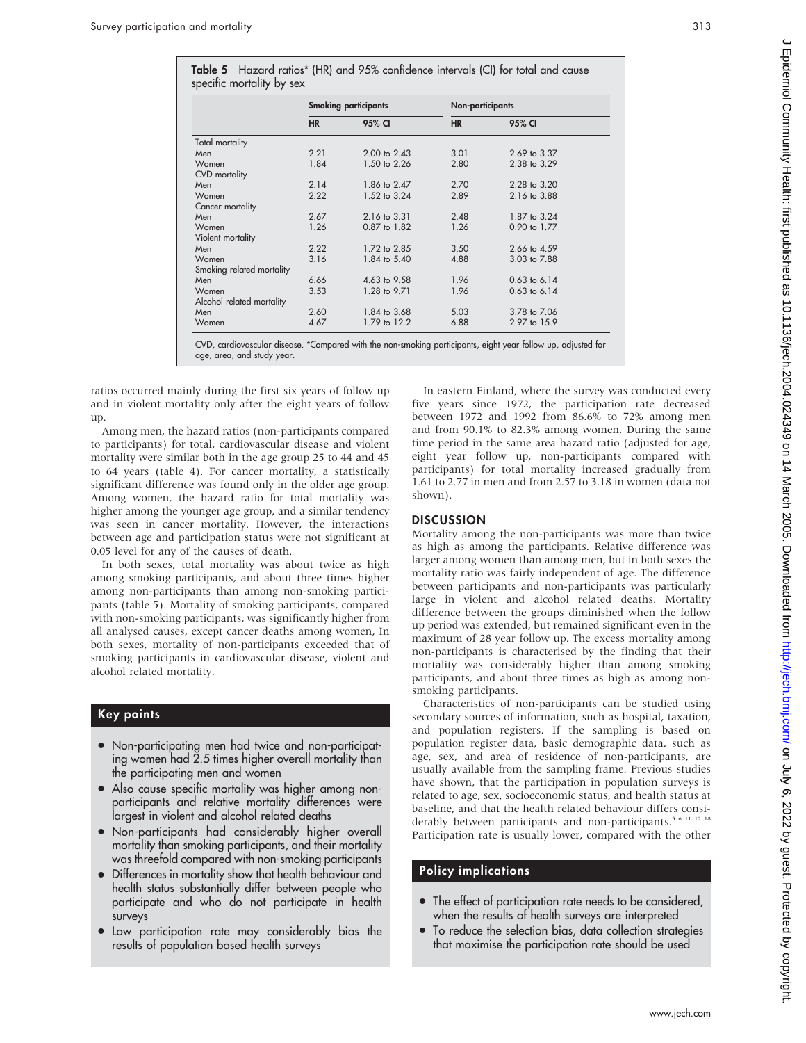|                           | <b>Smoking participants</b> |                         | Non-participants |                  |  |
|---------------------------|-----------------------------|-------------------------|------------------|------------------|--|
|                           | <b>HR</b>                   | 95% CI                  | <b>HR</b>        | 95% CI           |  |
| Total mortality           |                             |                         |                  |                  |  |
| Men                       | 2.21                        | $2.00 \text{ to } 2.43$ | 3.01             | 2.69 to 3.37     |  |
| Women                     | 1.84                        | 1.50 to 2.26            | 2.80             | 2.38 to 3.29     |  |
| CVD mortality             |                             |                         |                  |                  |  |
| Men                       | 2.14                        | 1.86 to 2.47            | 2.70             | 2.28 to 3.20     |  |
| Women                     | 2.22                        | 1.52 to 3.24            | 2.89             | 2.16 to 3.88     |  |
| Cancer mortality          |                             |                         |                  |                  |  |
| Men                       | 2.67                        | 2.16 to 3.31            | 2.48             | 1.87 to 3.24     |  |
| Women                     | 1.26                        | $0.87$ to $1.82$        | 1.26             | 0.90 to 1.77     |  |
| Violent mortality         |                             |                         |                  |                  |  |
| Men                       | 2.22                        | 1.72 to 2.85            | 3.50             | 2.66 to 4.59     |  |
| Women                     | 3.16                        | 1.84 to 5.40            | 4.88             | 3.03 to 7.88     |  |
| Smoking related mortality |                             |                         |                  |                  |  |
| Men                       | 6.66                        | 4.63 to 9.58            | 1.96             | $0.63$ to 6.14   |  |
| Women                     | 3.53                        | 1.28 to 9.71            | 1.96             | $0.63$ to $6.14$ |  |
| Alcohol related mortality |                             |                         |                  |                  |  |
| Men                       | 2.60                        | 1.84 to 3.68            | 5.03             | 3.78 to 7.06     |  |
| Women                     | 4.67                        | 1.79 to 12.2            | 6.88             | 2.97 to 15.9     |  |

ratios occurred mainly during the first six years of follow up and in violent mortality only after the eight years of follow up.

Among men, the hazard ratios (non-participants compared to participants) for total, cardiovascular disease and violent mortality were similar both in the age group 25 to 44 and 45 to 64 years (table 4). For cancer mortality, a statistically significant difference was found only in the older age group. Among women, the hazard ratio for total mortality was higher among the younger age group, and a similar tendency was seen in cancer mortality. However, the interactions between age and participation status were not significant at 0.05 level for any of the causes of death.

In both sexes, total mortality was about twice as high among smoking participants, and about three times higher among non-participants than among non-smoking participants (table 5). Mortality of smoking participants, compared with non-smoking participants, was significantly higher from all analysed causes, except cancer deaths among women, In both sexes, mortality of non-participants exceeded that of smoking participants in cardiovascular disease, violent and alcohol related mortality.

# Key points

- Non-participating men had twice and non-participating women had 2.5 times higher overall mortality than the participating men and women
- Also cause specific mortality was higher among nonparticipants and relative mortality differences were largest in violent and alcohol related deaths
- Non-participants had considerably higher overall mortality than smoking participants, and their mortality was threefold compared with non-smoking participants
- Differences in mortality show that health behaviour and health status substantially differ between people who participate and who do not participate in health surveys
- Low participation rate may considerably bias the results of population based health surveys

In eastern Finland, where the survey was conducted every five years since 1972, the participation rate decreased between 1972 and 1992 from 86.6% to 72% among men and from 90.1% to 82.3% among women. During the same time period in the same area hazard ratio (adjusted for age, eight year follow up, non-participants compared with participants) for total mortality increased gradually from 1.61 to 2.77 in men and from 2.57 to 3.18 in women (data not shown).

### **DISCUSSION**

Mortality among the non-participants was more than twice as high as among the participants. Relative difference was larger among women than among men, but in both sexes the mortality ratio was fairly independent of age. The difference between participants and non-participants was particularly large in violent and alcohol related deaths. Mortality difference between the groups diminished when the follow up period was extended, but remained significant even in the maximum of 28 year follow up. The excess mortality among non-participants is characterised by the finding that their mortality was considerably higher than among smoking participants, and about three times as high as among nonsmoking participants.

Characteristics of non-participants can be studied using secondary sources of information, such as hospital, taxation, and population registers. If the sampling is based on population register data, basic demographic data, such as age, sex, and area of residence of non-participants, are usually available from the sampling frame. Previous studies have shown, that the participation in population surveys is related to age, sex, socioeconomic status, and health status at baseline, and that the health related behaviour differs considerably between participants and non-participants.<sup>5 6 11 12 18</sup> Participation rate is usually lower, compared with the other

# Policy implications

- The effect of participation rate needs to be considered, when the results of health surveys are interpreted
- To reduce the selection bias, data collection strategies that maximise the participation rate should be used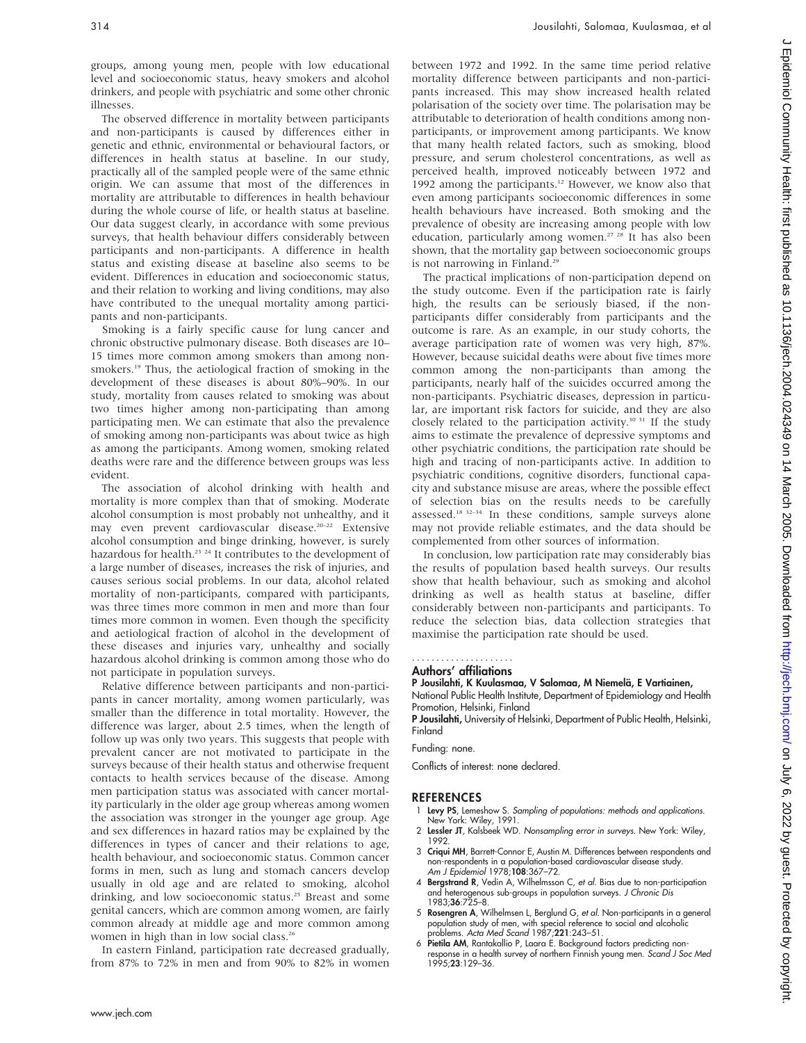groups, among young men, people with low educational level and socioeconomic status, heavy smokers and alcohol drinkers, and people with psychiatric and some other chronic illnesses.

The observed difference in mortality between participants and non-participants is caused by differences either in genetic and ethnic, environmental or behavioural factors, or differences in health status at baseline. In our study, practically all of the sampled people were of the same ethnic origin. We can assume that most of the differences in mortality are attributable to differences in health behaviour during the whole course of life, or health status at baseline. Our data suggest clearly, in accordance with some previous surveys, that health behaviour differs considerably between participants and non-participants. A difference in health status and existing disease at baseline also seems to be evident. Differences in education and socioeconomic status, and their relation to working and living conditions, may also have contributed to the unequal mortality among participants and non-participants.

Smoking is a fairly specific cause for lung cancer and chronic obstructive pulmonary disease. Both diseases are 10– 15 times more common among smokers than among nonsmokers.<sup>19</sup> Thus, the aetiological fraction of smoking in the development of these diseases is about 80%–90%. In our study, mortality from causes related to smoking was about two times higher among non-participating than among participating men. We can estimate that also the prevalence of smoking among non-participants was about twice as high as among the participants. Among women, smoking related deaths were rare and the difference between groups was less evident.

The association of alcohol drinking with health and mortality is more complex than that of smoking. Moderate alcohol consumption is most probably not unhealthy, and it may even prevent cardiovascular disease.<sup>20-22</sup> Extensive alcohol consumption and binge drinking, however, is surely hazardous for health.<sup>23</sup> <sup>24</sup> It contributes to the development of a large number of diseases, increases the risk of injuries, and causes serious social problems. In our data, alcohol related mortality of non-participants, compared with participants, was three times more common in men and more than four times more common in women. Even though the specificity and aetiological fraction of alcohol in the development of these diseases and injuries vary, unhealthy and socially hazardous alcohol drinking is common among those who do not participate in population surveys.

Relative difference between participants and non-participants in cancer mortality, among women particularly, was smaller than the difference in total mortality. However, the difference was larger, about 2.5 times, when the length of follow up was only two years. This suggests that people with prevalent cancer are not motivated to participate in the surveys because of their health status and otherwise frequent contacts to health services because of the disease. Among men participation status was associated with cancer mortality particularly in the older age group whereas among women the association was stronger in the younger age group. Age and sex differences in hazard ratios may be explained by the differences in types of cancer and their relations to age, health behaviour, and socioeconomic status. Common cancer forms in men, such as lung and stomach cancers develop usually in old age and are related to smoking, alcohol drinking, and low socioeconomic status.<sup>25</sup> Breast and some genital cancers, which are common among women, are fairly common already at middle age and more common among women in high than in low social class.<sup>26</sup>

In eastern Finland, participation rate decreased gradually, from 87% to 72% in men and from 90% to 82% in women between 1972 and 1992. In the same time period relative mortality difference between participants and non-participants increased. This may show increased health related polarisation of the society over time. The polarisation may be attributable to deterioration of health conditions among nonparticipants, or improvement among participants. We know that many health related factors, such as smoking, blood pressure, and serum cholesterol concentrations, as well as perceived health, improved noticeably between 1972 and 1992 among the participants.<sup>12</sup> However, we know also that even among participants socioeconomic differences in some health behaviours have increased. Both smoking and the prevalence of obesity are increasing among people with low education, particularly among women.<sup>27 28</sup> It has also been shown, that the mortality gap between socioeconomic groups is not narrowing in Finland.<sup>29</sup>

The practical implications of non-participation depend on the study outcome. Even if the participation rate is fairly high, the results can be seriously biased, if the nonparticipants differ considerably from participants and the outcome is rare. As an example, in our study cohorts, the average participation rate of women was very high, 87%. However, because suicidal deaths were about five times more common among the non-participants than among the participants, nearly half of the suicides occurred among the non-participants. Psychiatric diseases, depression in particular, are important risk factors for suicide, and they are also closely related to the participation activity.<sup>30 31</sup> If the study aims to estimate the prevalence of depressive symptoms and other psychiatric conditions, the participation rate should be high and tracing of non-participants active. In addition to psychiatric conditions, cognitive disorders, functional capacity and substance misuse are areas, where the possible effect of selection bias on the results needs to be carefully assessed.18 32–34 In these conditions, sample surveys alone may not provide reliable estimates, and the data should be complemented from other sources of information.

In conclusion, low participation rate may considerably bias the results of population based health surveys. Our results show that health behaviour, such as smoking and alcohol drinking as well as health status at baseline, differ considerably between non-participants and participants. To reduce the selection bias, data collection strategies that maximise the participation rate should be used.

# .....................

# Authors' affiliations

P Jousilahti, K Kuulasmaa, V Salomaa, M Niemelä, E Vartiainen, National Public Health Institute, Department of Epidemiology and Health

Promotion, Helsinki, Finland

P Jousilahti, University of Helsinki, Department of Public Health, Helsinki, Finland

Funding: none.

Conflicts of interest: none declared.

#### **REFERENCES**

- 1 Levy PS, Lemeshow S. Sampling of populations: methods and applications. New York: Wiley, 1991.
- 2 Lessler JT, Kalsbeek WD. Nonsampling error in surveys. New York: Wiley, 1992.
- 3 Criqui MH, Barrett-Connor E, Austin M. Differences between respondents and non-respondents in a population-based cardiovascular disease study. Am J Epidemiol 1978;108:367–72.
- 4 Bergstrand R, Vedin A, Wilhelmsson C, et al. Bias due to non-participation and heterogenous sub-groups in population surveys. J Chronic Dis  $1983.36.725 - 8$
- 5 Rosengren A, Wilhelmsen L, Berglund G, et al. Non-participants in a general population study of men, with special reference to social and alcoholic<br>problems. *Acta Med Scand* 1987;**221**:243–51.
- 6 Pietila AM, Rantakallio P, Laara E. Background factors predicting nonresponse in a health survey of northern Finnish young men. Scand J Soc Med 1995;23:129–36.

 $\subset$